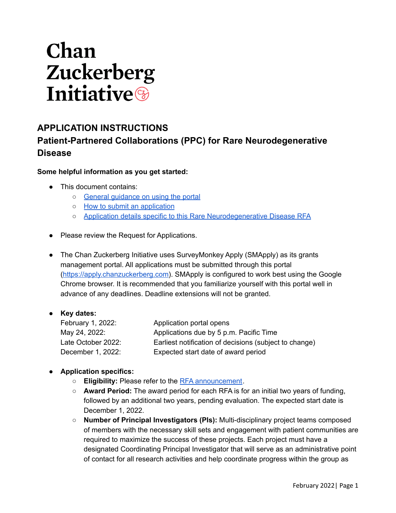# Chan Zuckerberg **Initiative**

# **APPLICATION INSTRUCTIONS Patient-Partnered Collaborations (PPC) for Rare Neurodegenerative Disease**

### **Some helpful information as you get started:**

- This document contains:
	- o General quidance on using the portal
	- o How to submit an [application](#page-2-0)
	- Application details specific to this Rare [Neurodegenerative](#page-3-0) Disease RFA
- Please review the Request for Applications.
- The Chan Zuckerberg Initiative uses SurveyMonkey Apply (SMApply) as its grants management portal. All applications must be submitted through this portal [\(https://apply.chanzuckerberg.com\)](https://apply.chanzuckerberg.com). SMApply is configured to work best using the Google Chrome browser. It is recommended that you familiarize yourself with this portal well in advance of any deadlines. Deadline extensions will not be granted.

#### ● **Key dates:**

| February 1, 2022:  | Application portal opens                               |
|--------------------|--------------------------------------------------------|
| May 24, 2022:      | Applications due by 5 p.m. Pacific Time                |
| Late October 2022: | Earliest notification of decisions (subject to change) |
| December 1, 2022:  | Expected start date of award period                    |

## ● **Application specifics:**

- **Eligibility:** Please refer to the RFA [announcement](https://chanzuckerberg.com/rfa/patient-partnered-collaborations-ppc-for-rare-neurodegenerative-disease/).
- **Award Period:** The award period for each RFA is for an initial two years of funding, followed by an additional two years, pending evaluation. The expected start date is December 1, 2022.
- **Number of Principal Investigators (PIs):** Multi-disciplinary project teams composed of members with the necessary skill sets and engagement with patient communities are required to maximize the success of these projects. Each project must have a designated Coordinating Principal Investigator that will serve as an administrative point of contact for all research activities and help coordinate progress within the group as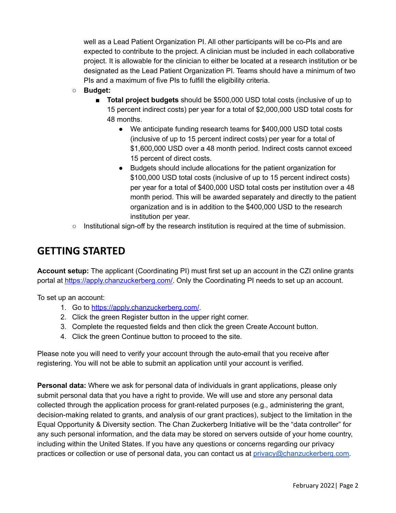well as a Lead Patient Organization PI. All other participants will be co-PIs and are expected to contribute to the project. A clinician must be included in each collaborative project. It is allowable for the clinician to either be located at a research institution or be designated as the Lead Patient Organization PI. Teams should have a minimum of two PIs and a maximum of five PIs to fulfill the eligibility criteria.

- **Budget:**
	- **Total project budgets** should be \$500,000 USD total costs (inclusive of up to 15 percent indirect costs) per year for a total of \$2,000,000 USD total costs for 48 months.
		- We anticipate funding research teams for \$400,000 USD total costs (inclusive of up to 15 percent indirect costs) per year for a total of \$1,600,000 USD over a 48 month period. Indirect costs cannot exceed 15 percent of direct costs.
		- Budgets should include allocations for the patient organization for \$100,000 USD total costs (inclusive of up to 15 percent indirect costs) per year for a total of \$400,000 USD total costs per institution over a 48 month period. This will be awarded separately and directly to the patient organization and is in addition to the \$400,000 USD to the research institution per year.
- Institutional sign-off by the research institution is required at the time of submission.

## <span id="page-1-0"></span>**GETTING STARTED**

**Account setup:** The applicant (Coordinating PI) must first set up an account in the CZI online grants portal at [https://apply.chanzuckerberg.com/.](https://apply.chanzuckerberg.com/) Only the Coordinating PI needs to set up an account.

To set up an account:

- 1. Go to <https://apply.chanzuckerberg.com/>.
- 2. Click the green Register button in the upper right corner.
- 3. Complete the requested fields and then click the green Create Account button.
- 4. Click the green Continue button to proceed to the site.

Please note you will need to verify your account through the auto-email that you receive after registering. You will not be able to submit an application until your account is verified.

**Personal data:** Where we ask for personal data of individuals in grant applications, please only submit personal data that you have a right to provide. We will use and store any personal data collected through the application process for grant-related purposes (e.g., administering the grant, decision-making related to grants, and analysis of our grant practices), subject to the limitation in the Equal Opportunity & Diversity section. The Chan Zuckerberg Initiative will be the "data controller" for any such personal information, and the data may be stored on servers outside of your home country, including within the United States. If you have any questions or concerns regarding our privacy practices or collection or use of personal data, you can contact us at [privacy@chanzuckerberg.com.](mailto:privacy@chanzuckerberg.com)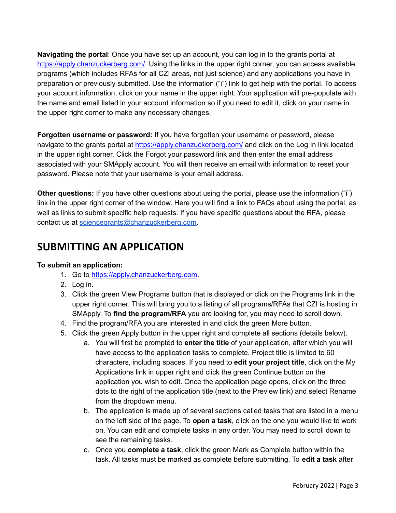**Navigating the portal**: Once you have set up an account, you can log in to the grants portal at <https://apply.chanzuckerberg.com/>. Using the links in the upper right corner, you can access available programs (which includes RFAs for all CZI areas, not just science) and any applications you have in preparation or previously submitted. Use the information ("i") link to get help with the portal. To access your account information, click on your name in the upper right. Your application will pre-populate with the name and email listed in your account information so if you need to edit it, click on your name in the upper right corner to make any necessary changes.

**Forgotten username or password:** If you have forgotten your username or password, please navigate to the grants portal at <https://apply.chanzuckerberg.com/> and click on the Log In link located in the upper right corner. Click the Forgot your password link and then enter the email address associated with your SMApply account. You will then receive an email with information to reset your password. Please note that your username is your email address.

**Other questions:** If you have other questions about using the portal, please use the information ("i") link in the upper right corner of the window. Here you will find a link to FAQs about using the portal, as well as links to submit specific help requests. If you have specific questions about the RFA, please contact us at [sciencegrants@chanzuckerberg.com.](mailto:sciencegrants@chanzuckerberg.com)

## <span id="page-2-0"></span>**SUBMITTING AN APPLICATION**

## **To submit an application:**

- 1. Go to <https://apply.chanzuckerberg.com>[.](https://chanzuckerberg.fluxx.io/)
- 2. Log in.
- 3. Click the green View Programs button that is displayed or click on the Programs link in the upper right corner. This will bring you to a listing of all programs/RFAs that CZI is hosting in SMApply. To **find the program/RFA** you are looking for, you may need to scroll down.
- 4. Find the program/RFA you are interested in and click the green More button.
- 5. Click the green Apply button in the upper right and complete all sections (details below).
	- a. You will first be prompted to **enter the title** of your application, after which you will have access to the application tasks to complete. Project title is limited to 60 characters, including spaces. If you need to **edit your project title**, click on the My Applications link in upper right and click the green Continue button on the application you wish to edit. Once the application page opens, click on the three dots to the right of the application title (next to the Preview link) and select Rename from the dropdown menu.
	- b. The application is made up of several sections called tasks that are listed in a menu on the left side of the page. To **open a task**, click on the one you would like to work on. You can edit and complete tasks in any order. You may need to scroll down to see the remaining tasks.
	- c. Once you **complete a task**, click the green Mark as Complete button within the task. All tasks must be marked as complete before submitting. To **edit a task** after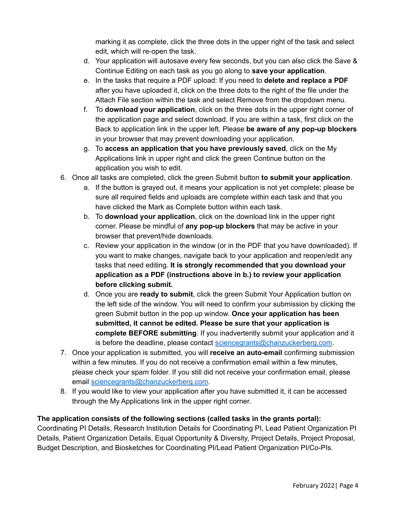marking it as complete, click the three dots in the upper right of the task and select edit, which will re-open the task.

- d. Your application will autosave every few seconds, but you can also click the Save & Continue Editing on each task as you go along to **save your application**.
- e. In the tasks that require a PDF upload: If you need to **delete and replace a PDF** after you have uploaded it, click on the three dots to the right of the file under the Attach File section within the task and select Remove from the dropdown menu.
- f. To **download your application**, click on the three dots in the upper right corner of the application page and select download. If you are within a task, first click on the Back to application link in the upper left. Please **be aware of any pop-up blockers** in your browser that may prevent downloading your application.
- g. To **access an application that you have previously saved**, click on the My Applications link in upper right and click the green Continue button on the application you wish to edit.
- 6. Once all tasks are completed, click the green Submit button **to submit your application**.
	- a. If the button is grayed out, it means your application is not yet complete; please be sure all required fields and uploads are complete within each task and that you have clicked the Mark as Complete button within each task.
	- b. To **download your application**, click on the download link in the upper right corner. Please be mindful of **any pop-up blockers** that may be active in your browser that prevent/hide downloads.
	- c. Review your application in the window (or in the PDF that you have downloaded). If you want to make changes, navigate back to your application and reopen/edit any tasks that need editing. **It is strongly recommended that you download your application as a PDF (instructions above in b.) to review your application before clicking submit.**
	- d. Once you are **ready to submit**, click the green Submit Your Application button on the left side of the window. You will need to confirm your submission by clicking the green Submit button in the pop up window. **Once your application has been submitted, it cannot be edited. Please be sure that your application is complete BEFORE submitting**. If you inadvertently submit your application and it is before the deadline, please contact [sciencegrants@chanzuckerberg.com.](mailto:sciencegrants@chanzuckerberg.com)
- 7. Once your application is submitted, you will **receive an auto-email** confirming submission within a few minutes. If you do not receive a confirmation email within a few minutes, please check your spam folder. If you still did not receive your confirmation email, please email [sciencegrants@chanzuckerberg.com.](mailto:sciencegrants@chanzuckerberg.com)
- 8. If you would like to view your application after you have submitted it, it can be accessed through the My Applications link in the upper right corner.

## **The application consists of the following sections (called tasks in the grants portal):**

<span id="page-3-0"></span>Coordinating PI Details, Research Institution Details for Coordinating PI, Lead Patient Organization PI Details, Patient Organization Details, Equal Opportunity & Diversity, Project Details, Project Proposal, Budget Description, and Biosketches for Coordinating PI/Lead Patient Organization PI/Co-PIs.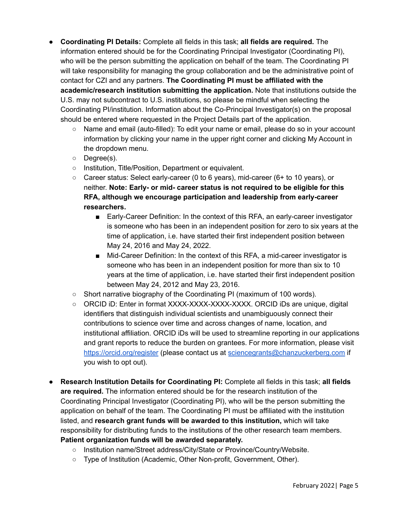- **Coordinating PI Details:** Complete all fields in this task; **all fields are required.** The information entered should be for the Coordinating Principal Investigator (Coordinating PI), who will be the person submitting the application on behalf of the team. The Coordinating PI will take responsibility for managing the group collaboration and be the administrative point of contact for CZI and any partners. **The Coordinating PI must be affiliated with the academic/research institution submitting the application.** Note that institutions outside the U.S. may not subcontract to U.S. institutions, so please be mindful when selecting the Coordinating PI/institution. Information about the Co-Principal Investigator(s) on the proposal should be entered where requested in the Project Details part of the application.
	- Name and email (auto-filled): To edit your name or email, please do so in your account information by clicking your name in the upper right corner and clicking My Account in the dropdown menu.
	- Degree(s).
	- Institution, Title/Position, Department or equivalent.
	- $\circ$  Career status: Select early-career (0 to 6 years), mid-career (6+ to 10 years), or neither. **Note: Early- or mid- career status is not required to be eligible for this RFA, although we encourage participation and leadership from early-career researchers.**
		- Early-Career Definition: In the context of this RFA, an early-career investigator is someone who has been in an independent position for zero to six years at the time of application, i.e. have started their first independent position between May 24, 2016 and May 24, 2022.
		- Mid-Career Definition: In the context of this RFA, a mid-career investigator is someone who has been in an independent position for more than six to 10 years at the time of application, i.e. have started their first independent position between May 24, 2012 and May 23, 2016.
	- Short narrative biography of the Coordinating PI (maximum of 100 words).
	- ORCID iD: Enter in format XXXX-XXXX-XXXX-XXXX. ORCID iDs are unique, digital identifiers that distinguish individual scientists and unambiguously connect their contributions to science over time and across changes of name, location, and institutional affiliation. ORCID iDs will be used to streamline reporting in our applications and grant reports to reduce the burden on grantees. For more information, please visit <https://orcid.org/register> (please contact us at [sciencegrants@chanzuckerberg.com](mailto:sciencegrants@chanzuckerberg.com) if you wish to opt out).
- **● Research Institution Details for Coordinating PI:** Complete all fields in this task; **all fields are required.** The information entered should be for the research institution of the Coordinating Principal Investigator (Coordinating PI), who will be the person submitting the application on behalf of the team. The Coordinating PI must be affiliated with the institution listed, and **research grant funds will be awarded to this institution,** which will take responsibility for distributing funds to the institutions of the other research team members. **Patient organization funds will be awarded separately.**
	- Institution name/Street address/City/State or Province/Country/Website.
	- Type of Institution (Academic, Other Non-profit, Government, Other).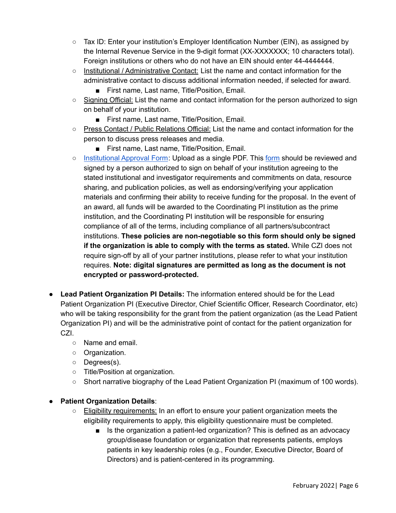- $\circ$  Tax ID: Enter your institution's Employer Identification Number (EIN), as assigned by the Internal Revenue Service in the 9-digit format (XX-XXXXXXX; 10 characters total). Foreign institutions or others who do not have an EIN should enter 44-4444444.
- Institutional / Administrative Contact: List the name and contact information for the administrative contact to discuss additional information needed, if selected for award.
	- First name, Last name, Title/Position, Email.
- Signing Official: List the name and contact information for the person authorized to sign on behalf of your institution.
	- First name, Last name, Title/Position, Email.
- Press Contact / Public Relations Official: List the name and contact information for the person to discuss press releases and media.
	- First name, Last name, Title/Position, Email.
- [Institutional](https://apply.chanzuckerberg.com/protected/resource/eyJoZnJlIjogOTQ1ODEyNDksICJ2cSI6IDE2ODQ2Nn0/) Approval Form: Upload as a single PDF. This [form](https://apply.chanzuckerberg.com/protected/resource/eyJoZnJlIjogOTQ1ODEyNDksICJ2cSI6IDE2ODQ2Nn0/) should be reviewed and signed by a person authorized to sign on behalf of your institution agreeing to the stated institutional and investigator requirements and commitments on data, resource sharing, and publication policies, as well as endorsing/verifying your application materials and confirming their ability to receive funding for the proposal. In the event of an award, all funds will be awarded to the Coordinating PI institution as the prime institution, and the Coordinating PI institution will be responsible for ensuring compliance of all of the terms, including compliance of all partners/subcontract institutions. **These policies are non-negotiable so this form should only be signed if the organization is able to comply with the terms as stated.** While CZI does not require sign-off by all of your partner institutions, please refer to what your institution requires. **Note: digital signatures are permitted as long as the document is not encrypted or password-protected.**
- **Lead Patient Organization PI Details:** The information entered should be for the Lead Patient Organization PI (Executive Director, Chief Scientific Officer, Research Coordinator, etc) who will be taking responsibility for the grant from the patient organization (as the Lead Patient Organization PI) and will be the administrative point of contact for the patient organization for CZI.
	- Name and email.
	- Organization.
	- Degrees(s).
	- Title/Position at organization.
	- Short narrative biography of the Lead Patient Organization PI (maximum of 100 words).

## ● **Patient Organization Details**:

- Eligibility requirements: In an effort to ensure your patient organization meets the eligibility requirements to apply, this eligibility questionnaire must be completed.
	- Is the organization a patient-led organization? This is defined as an advocacy group/disease foundation or organization that represents patients, employs patients in key leadership roles (e.g., Founder, Executive Director, Board of Directors) and is patient-centered in its programming.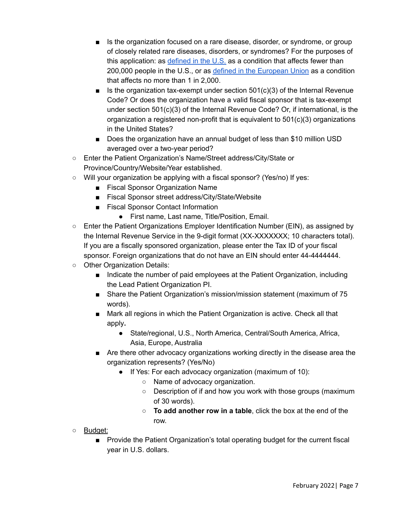- Is the organization focused on a rare disease, disorder, or syndrome, or group of closely related rare diseases, disorders, or syndromes? For the purposes of this application: as [defined](https://www.fda.gov/patients/rare-diseases-fda#:~:text=The%20Orphan%20Drug%20Act%20defines,drugs%20to%20treat%20rare%20diseases.) in the  $U.S.$  as a condition that affects fewer than 200,000 people in the U.S., or as defined in the [European](https://ec.europa.eu/info/research-and-innovation/research-area/health-research-and-innovation/rare-diseases_en#:~:text=In%20the%20European%20Union%2C%20a,million%20people%20in%20the%20EU.) Union as a condition that affects no more than 1 in 2,000.
- Is the organization tax-exempt under section  $501(c)(3)$  of the Internal Revenue Code? Or does the organization have a valid fiscal sponsor that is tax-exempt under section 501(c)(3) of the Internal Revenue Code? Or, if international, is the organization a registered non-profit that is equivalent to  $501(c)(3)$  organizations in the United States?
- Does the organization have an annual budget of less than \$10 million USD averaged over a two-year period?
- Enter the Patient Organization's Name/Street address/City/State or Province/Country/Website/Year established.
- Will your organization be applying with a fiscal sponsor? (Yes/no) If yes:
	- Fiscal Sponsor Organization Name
	- Fiscal Sponsor street address/City/State/Website
	- Fiscal Sponsor Contact Information
		- First name, Last name, Title/Position, Email.
- $\circ$  Enter the Patient Organizations Employer Identification Number (EIN), as assigned by the Internal Revenue Service in the 9-digit format (XX-XXXXXXX; 10 characters total). If you are a fiscally sponsored organization, please enter the Tax ID of your fiscal sponsor. Foreign organizations that do not have an EIN should enter 44-4444444.
- Other Organization Details:
	- Indicate the number of paid employees at the Patient Organization, including the Lead Patient Organization PI.
	- Share the Patient Organization's mission/mission statement (maximum of 75 words).
	- Mark all regions in which the Patient Organization is active. Check all that apply**.**
		- State/regional, U.S., North America, Central/South America, Africa, Asia, Europe, Australia
	- Are there other advocacy organizations working directly in the disease area the organization represents? (Yes/No)
		- If Yes: For each advocacy organization (maximum of 10):
			- Name of advocacy organization.
			- Description of if and how you work with those groups (maximum of 30 words).
			- **To add another row in a table**, click the box at the end of the row.
- Budget:
	- Provide the Patient Organization's total operating budget for the current fiscal year in U.S. dollars.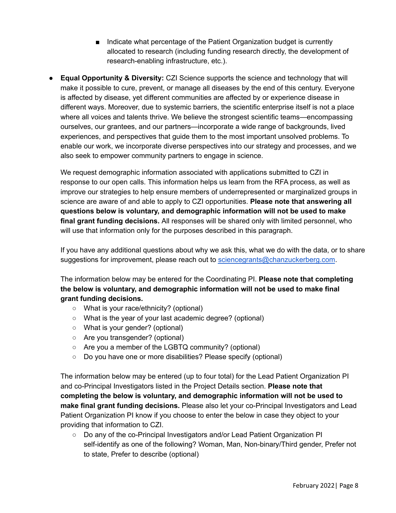- Indicate what percentage of the Patient Organization budget is currently allocated to research (including funding research directly, the development of research-enabling infrastructure, etc.).
- **Equal Opportunity & Diversity:** CZI Science supports the science and technology that will make it possible to cure, prevent, or manage all diseases by the end of this century. Everyone is affected by disease, yet different communities are affected by or experience disease in different ways. Moreover, due to systemic barriers, the scientific enterprise itself is not a place where all voices and talents thrive. We believe the strongest scientific teams—encompassing ourselves, our grantees, and our partners—incorporate a wide range of backgrounds, lived experiences, and perspectives that guide them to the most important unsolved problems. To enable our work, we incorporate diverse perspectives into our strategy and processes, and we also seek to empower community partners to engage in science.

We request demographic information associated with applications submitted to CZI in response to our open calls. This information helps us learn from the RFA process, as well as improve our strategies to help ensure members of underrepresented or marginalized groups in science are aware of and able to apply to CZI opportunities. **Please note that answering all questions below is voluntary, and demographic information will not be used to make final grant funding decisions.** All responses will be shared only with limited personnel, who will use that information only for the purposes described in this paragraph.

If you have any additional questions about why we ask this, what we do with the data, or to share suggestions for improvement, please reach out to [sciencegrants@chanzuckerberg.com](mailto:sciencegrants@chanzuckerberg.com).

The information below may be entered for the Coordinating PI. **Please note that completing the below is voluntary, and demographic information will not be used to make final grant funding decisions.**

- What is your race/ethnicity? (optional)
- What is the year of your last academic degree? (optional)
- What is your gender? (optional)
- Are you transgender? (optional)
- Are you a member of the LGBTQ community? (optional)
- Do you have one or more disabilities? Please specify (optional)

The information below may be entered (up to four total) for the Lead Patient Organization PI and co-Principal Investigators listed in the Project Details section. **Please note that completing the below is voluntary, and demographic information will not be used to make final grant funding decisions.** Please also let your co-Principal Investigators and Lead Patient Organization PI know if you choose to enter the below in case they object to your providing that information to CZI.

○ Do any of the co-Principal Investigators and/or Lead Patient Organization PI self-identify as one of the following? Woman, Man, Non-binary/Third gender, Prefer not to state, Prefer to describe (optional)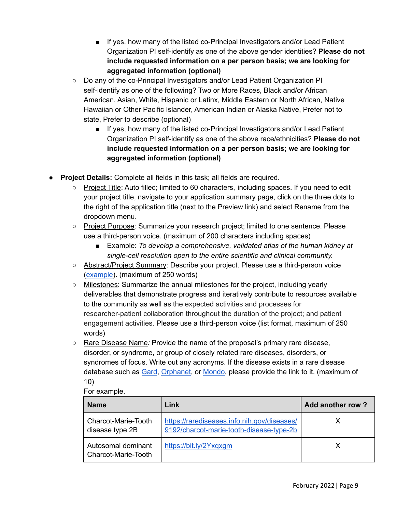- If yes, how many of the listed co-Principal Investigators and/or Lead Patient Organization PI self-identify as one of the above gender identities? **Please do not include requested information on a per person basis; we are looking for aggregated information (optional)**
- Do any of the co-Principal Investigators and/or Lead Patient Organization PI self-identify as one of the following? Two or More Races, Black and/or African American, Asian, White, Hispanic or Latinx, Middle Eastern or North African, Native Hawaiian or Other Pacific Islander, American Indian or Alaska Native, Prefer not to state, Prefer to describe (optional)
	- If yes, how many of the listed co-Principal Investigators and/or Lead Patient Organization PI self-identify as one of the above race/ethnicities? **Please do not include requested information on a per person basis; we are looking for aggregated information (optional)**
- **Project Details:** Complete all fields in this task; all fields are required.
	- Project Title: Auto filled; limited to 60 characters, including spaces. If you need to edit your project title, navigate to your application summary page, click on the three dots to the right of the application title (next to the Preview link) and select Rename from the dropdown menu.
	- Project Purpose: Summarize your research project; limited to one sentence. Please use a third-person voice. (maximum of 200 characters including spaces)
		- Example: *To develop a comprehensive, validated atlas of the human kidney at single-cell resolution open to the entire scientific and clinical community.*
	- Abstract/Project Summary: Describe your project. Please use a third-person voice [\(example\)](https://chanzuckerberg.com/science/programs-resources/single-cell-biology/seednetworks/benchmarking-developing-and-adult-kidney-with-organoids-at-single-cell-resolution/). (maximum of 250 words)
	- Milestones: Summarize the annual milestones for the project, including yearly deliverables that demonstrate progress and iteratively contribute to resources available to the community as well as the expected activities and processes for researcher-patient collaboration throughout the duration of the project; and patient engagement activities. Please use a third-person voice (list format, maximum of 250 words)
	- Rare Disease Name*:* Provide the name of the proposal's primary rare disease, disorder, or syndrome, or group of closely related rare diseases, disorders, or syndromes of focus. Write out any acronyms. If the disease exists in a rare disease database such as [Gard](https://rarediseases.info.nih.gov/), [Orphanet](https://www.orpha.net/consor/cgi-bin/index.php), or [Mondo,](https://monarchinitiative.org/) please provide the link to it. (maximum of 10)

#### For example,

| <b>Name</b>                               | Link                                                                                    | <b>Add another row?</b> |
|-------------------------------------------|-----------------------------------------------------------------------------------------|-------------------------|
| Charcot-Marie-Tooth<br>disease type 2B    | https://rarediseases.info.nih.gov/diseases/<br>9192/charcot-marie-tooth-disease-type-2b |                         |
| Autosomal dominant<br>Charcot-Marie-Tooth | https://bit.ly/2Yxqxgm                                                                  |                         |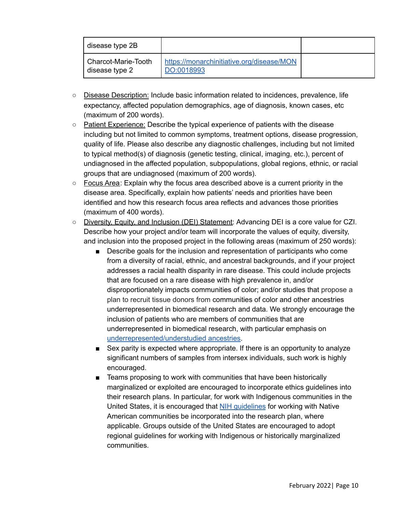| disease type 2B                       |                                                         |  |
|---------------------------------------|---------------------------------------------------------|--|
| Charcot-Marie-Tooth<br>disease type 2 | https://monarchinitiative.org/disease/MON<br>DO:0018993 |  |

- Disease Description: Include basic information related to incidences, prevalence, life expectancy, affected population demographics, age of diagnosis, known cases, etc (maximum of 200 words).
- Patient Experience: Describe the typical experience of patients with the disease including but not limited to common symptoms, treatment options, disease progression, quality of life. Please also describe any diagnostic challenges, including but not limited to typical method(s) of diagnosis (genetic testing, clinical, imaging, etc.), percent of undiagnosed in the affected population, subpopulations, global regions, ethnic, or racial groups that are undiagnosed (maximum of 200 words).
- Focus Area: Explain why the focus area described above is a current priority in the disease area. Specifically, explain how patients' needs and priorities have been identified and how this research focus area reflects and advances those priorities (maximum of 400 words).
- Diversity, Equity, and Inclusion (DEI) Statement: Advancing DEI is a core [value](https://chanzuckerberg.com/about/our-approach/dei/) for CZI. Describe how your project and/or team will incorporate the values of equity, diversity, and inclusion into the proposed project in the following areas (maximum of 250 words):
	- Describe goals for the inclusion and representation of participants who come from a diversity of racial, ethnic, and ancestral backgrounds, and if your project addresses a racial health disparity in rare disease. This could include projects that are focused on a rare disease with high prevalence in, and/or disproportionately impacts communities of color; and/or studies that propose a plan to recruit tissue donors from communities of color and other ancestries underrepresented in biomedical research and data. We strongly encourage the inclusion of patients who are members of communities that are underrepresented in biomedical research, with particular emphasis on [underrepresented/understudied](https://www.nature.com/articles/s41576-019-0144-0?proof=trueMay.) ancestries.
	- Sex parity is expected where appropriate. If there is an opportunity to analyze significant numbers of samples from intersex individuals, such work is highly encouraged.
	- Teams proposing to work with communities that have been historically marginalized or exploited are encouraged to incorporate ethics guidelines into their research plans. In particular, for work with Indigenous communities in the United States, it is encouraged that NIH [guidelines](https://allofus.nih.gov/all-us-research-program-tribal-consultation-final-report) for working with Native American communities be incorporated into the research plan, where applicable. Groups outside of the United States are encouraged to adopt regional guidelines for working with Indigenous or historically marginalized communities.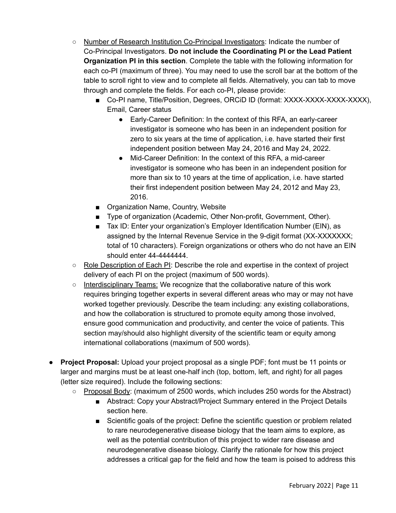- Number of Research Institution Co-Principal Investigators: Indicate the number of Co-Principal Investigators. **Do not include the Coordinating PI or the Lead Patient Organization PI in this section**. Complete the table with the following information for each co-PI (maximum of three). You may need to use the scroll bar at the bottom of the table to scroll right to view and to complete all fields. Alternatively, you can tab to move through and complete the fields. For each co-PI, please provide:
	- Co-PI name, Title/Position, Degrees, ORCiD ID (format: XXXX-XXXX-XXXX-XXXX), Email, Career status
		- Early-Career Definition: In the context of this RFA, an early-career investigator is someone who has been in an independent position for zero to six years at the time of application, i.e. have started their first independent position between May 24, 2016 and May 24, 2022.
		- Mid-Career Definition: In the context of this RFA, a mid-career investigator is someone who has been in an independent position for more than six to 10 years at the time of application, i.e. have started their first independent position between May 24, 2012 and May 23, 2016.
	- Organization Name, Country, Website
	- Type of organization (Academic, Other Non-profit, Government, Other).
	- Tax ID: Enter your organization's Employer Identification Number (EIN), as assigned by the Internal Revenue Service in the 9-digit format (XX-XXXXXXX; total of 10 characters). Foreign organizations or others who do not have an EIN should enter 44-4444444.
- Role Description of Each PI: Describe the role and expertise in the context of project delivery of each PI on the project (maximum of 500 words).
- $\circ$  Interdisciplinary Teams: We recognize that the collaborative nature of this work requires bringing together experts in several different areas who may or may not have worked together previously. Describe the team including: any existing collaborations, and how the collaboration is structured to promote equity among those involved, ensure good communication and productivity, and center the voice of patients. This section may/should also highlight diversity of the scientific team or equity among international collaborations (maximum of 500 words).
- **Project Proposal:** Upload your project proposal as a single PDF; font must be 11 points or larger and margins must be at least one-half inch (top, bottom, left, and right) for all pages (letter size required). Include the following sections:
	- Proposal Body: (maximum of 2500 words, which includes 250 words for the Abstract)
		- Abstract: Copy your Abstract/Project Summary entered in the Project Details section here.
		- Scientific goals of the project: Define the scientific question or problem related to rare neurodegenerative disease biology that the team aims to explore, as well as the potential contribution of this project to wider rare disease and neurodegenerative disease biology. Clarify the rationale for how this project addresses a critical gap for the field and how the team is poised to address this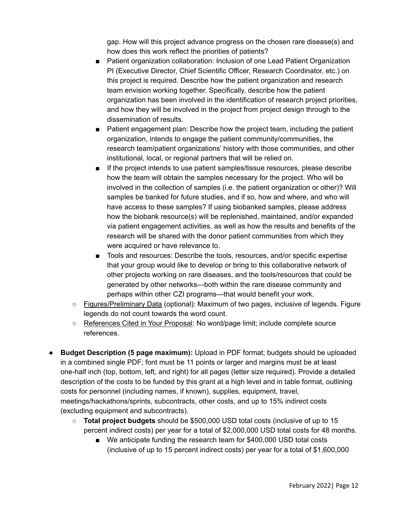gap. How will this project advance progress on the chosen rare disease(s) and how does this work reflect the priorities of patients?

- Patient organization collaboration: Inclusion of one Lead Patient Organization PI (Executive Director, Chief Scientific Officer, Research Coordinator, etc.) on this project is required. Describe how the patient organization and research team envision working together. Specifically, describe how the patient organization has been involved in the identification of research project priorities, and how they will be involved in the project from project design through to the dissemination of results.
- Patient engagement plan: Describe how the project team, including the patient organization, intends to engage the patient community/communities, the research team/patient organizations' history with those communities, and other institutional, local, or regional partners that will be relied on.
- If the project intends to use patient samples/tissue resources, please describe how the team will obtain the samples necessary for the project. Who will be involved in the collection of samples (i.e. the patient organization or other)? Will samples be banked for future studies, and if so, how and where, and who will have access to these samples? If using biobanked samples, please address how the biobank resource(s) will be replenished, maintained, and/or expanded via patient engagement activities, as well as how the results and benefits of the research will be shared with the donor patient communities from which they were acquired or have relevance to.
- Tools and resources: Describe the tools, resources, and/or specific expertise that your group would like to develop or bring to this collaborative network of other projects working on rare diseases, and the tools/resources that could be generated by other networks—both within the rare disease community and perhaps within other CZI programs—that would benefit your work.
- Figures/Preliminary Data (optional): Maximum of two pages, inclusive of legends. Figure legends do not count towards the word count.
- References Cited in Your Proposal: No word/page limit; include complete source references.
- **Budget Description (5 page maximum):** Upload in PDF format; budgets should be uploaded in a combined single PDF; font must be 11 points or larger and margins must be at least one-half inch (top, bottom, left, and right) for all pages (letter size required). Provide a detailed description of the costs to be funded by this grant at a high level and in table format, outlining costs for personnel (including names, if known), supplies, equipment, travel, meetings/hackathons/sprints, subcontracts, other costs, and up to 15% indirect costs (excluding equipment and subcontracts).
	- **Total project budgets** should be \$500,000 USD total costs (inclusive of up to 15 percent indirect costs) per year for a total of \$2,000,000 USD total costs for 48 months.
		- We anticipate funding the research team for \$400,000 USD total costs (inclusive of up to 15 percent indirect costs) per year for a total of \$1,600,000